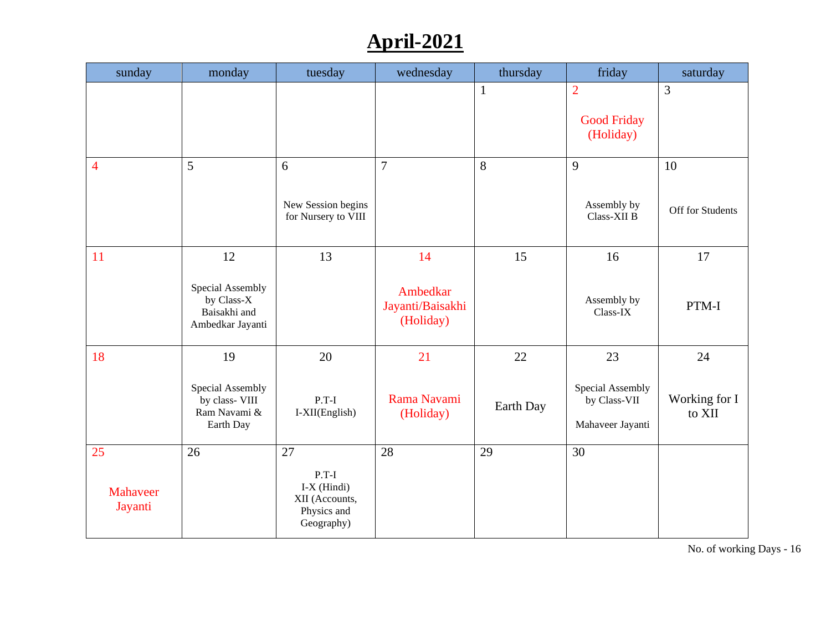# **April-2021**

| sunday                    | monday                                                                   | tuesday                                                                       | wednesday                                       | thursday        | friday                                                     | saturday                      |
|---------------------------|--------------------------------------------------------------------------|-------------------------------------------------------------------------------|-------------------------------------------------|-----------------|------------------------------------------------------------|-------------------------------|
|                           |                                                                          |                                                                               |                                                 | $\mathbf{1}$    | $\overline{2}$<br><b>Good Friday</b><br>(Holiday)          | 3                             |
| $\overline{4}$            | 5                                                                        | 6<br>New Session begins<br>for Nursery to VIII                                | $\overline{7}$                                  | 8               | 9<br>Assembly by<br>Class-XII B                            | 10<br>Off for Students        |
| <b>11</b>                 | 12<br>Special Assembly<br>by Class-X<br>Baisakhi and<br>Ambedkar Jayanti | 13                                                                            | 14<br>Ambedkar<br>Jayanti/Baisakhi<br>(Holiday) | 15              | 16<br>Assembly by<br>Class-IX                              | 17<br>PTM-I                   |
| 18                        | 19<br>Special Assembly<br>by class- VIII<br>Ram Navami &<br>Earth Day    | 20<br>$P.T-I$<br>I-XII(English)                                               | 21<br>Rama Navami<br>(Holiday)                  | 22<br>Earth Day | 23<br>Special Assembly<br>by Class-VII<br>Mahaveer Jayanti | 24<br>Working for I<br>to XII |
| 25<br>Mahaveer<br>Jayanti | 26                                                                       | 27<br>$P.T-I$<br>$I-X$ (Hindi)<br>XII (Accounts,<br>Physics and<br>Geography) | 28                                              | 29              | 30                                                         |                               |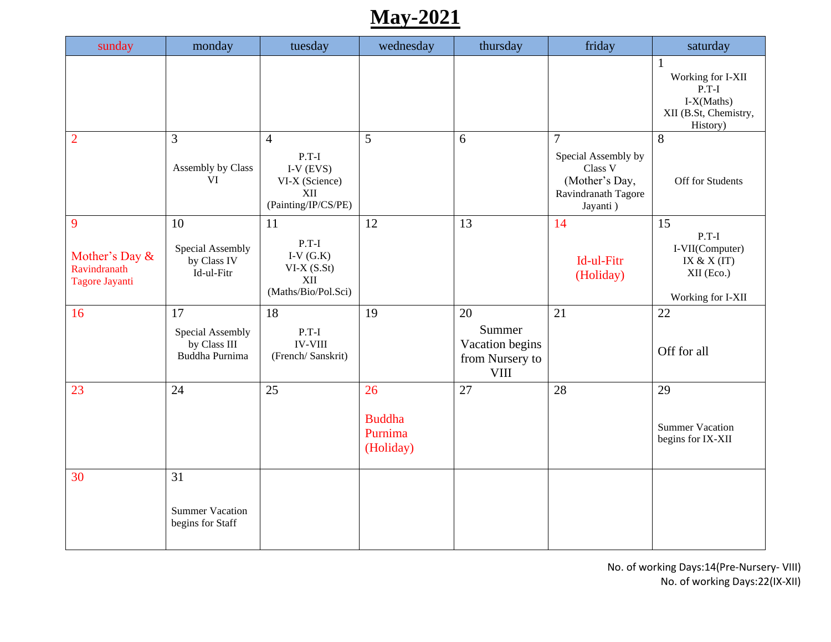# **May-2021**

| sunday                                                | monday                                                   | tuesday                                                                                  | wednesday                                   | thursday                                                          | friday                                                                                                | saturday                                                                                        |
|-------------------------------------------------------|----------------------------------------------------------|------------------------------------------------------------------------------------------|---------------------------------------------|-------------------------------------------------------------------|-------------------------------------------------------------------------------------------------------|-------------------------------------------------------------------------------------------------|
|                                                       |                                                          |                                                                                          |                                             |                                                                   |                                                                                                       | $\mathbf{1}$<br>Working for I-XII<br>$P.T-I$<br>I-X(Maths)<br>XII (B.St, Chemistry,<br>History) |
| $\overline{2}$                                        | $\overline{3}$<br>Assembly by Class<br><b>VI</b>         | $\overline{4}$<br>$P.T-I$<br>I-V $(EVS)$<br>VI-X (Science)<br>XII<br>(Painting/IP/CS/PE) | 5                                           | 6                                                                 | $\overline{7}$<br>Special Assembly by<br>Class V<br>(Mother's Day,<br>Ravindranath Tagore<br>Jayanti) | 8<br>Off for Students                                                                           |
| 9<br>Mother's Day &<br>Ravindranath<br>Tagore Jayanti | 10<br>Special Assembly<br>by Class IV<br>Id-ul-Fitr      | 11<br>$P.T-I$<br>I-V $(G.K)$<br>$VI-X(S.St)$<br>XII<br>(Maths/Bio/Pol.Sci)               | 12                                          | 13                                                                | 14<br>Id-ul-Fitr<br>(Holiday)                                                                         | 15<br>$P.T-I$<br>I-VII(Computer)<br>IX & $X(IT)$<br>XII (Eco.)<br>Working for I-XII             |
| 16                                                    | 17<br>Special Assembly<br>by Class III<br>Buddha Purnima | 18<br>$P.T-I$<br><b>IV-VIII</b><br>(French/Sanskrit)                                     | 19                                          | 20<br>Summer<br>Vacation begins<br>from Nursery to<br><b>VIII</b> | 21                                                                                                    | 22<br>Off for all                                                                               |
| 23                                                    | 24                                                       | 25                                                                                       | 26<br><b>Buddha</b><br>Purnima<br>(Holiday) | 27                                                                | 28                                                                                                    | 29<br><b>Summer Vacation</b><br>begins for IX-XII                                               |
| 30                                                    | 31<br><b>Summer Vacation</b><br>begins for Staff         |                                                                                          |                                             |                                                                   |                                                                                                       |                                                                                                 |

No. of working Days:14(Pre-Nursery- VIII) No. of working Days:22(IX-XII)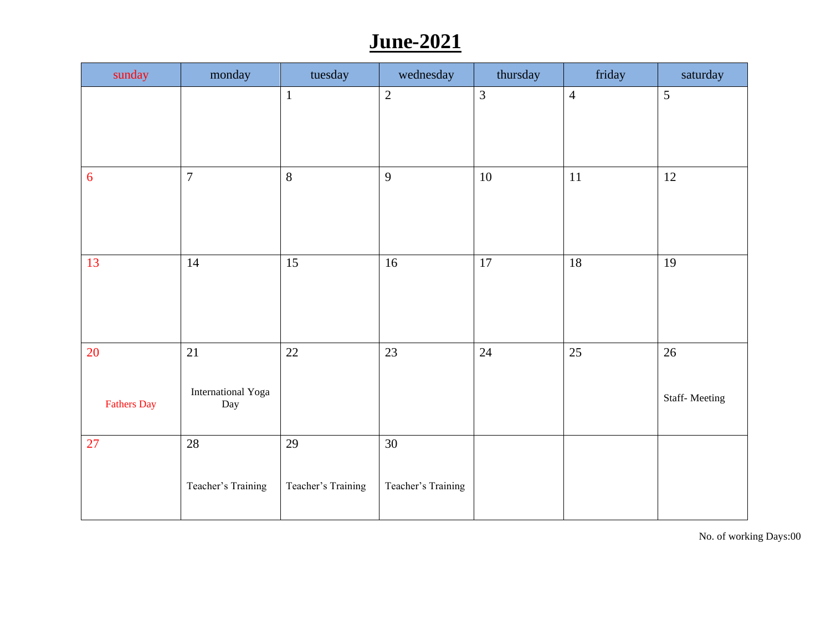# **June-2021**

| sunday             | monday                  | tuesday            | wednesday          | thursday       | friday         | saturday             |
|--------------------|-------------------------|--------------------|--------------------|----------------|----------------|----------------------|
|                    |                         | $\mathbf{1}$       | $\overline{2}$     | $\overline{3}$ | $\overline{4}$ | 5                    |
|                    |                         |                    |                    |                |                |                      |
|                    |                         |                    |                    |                |                |                      |
| 6                  | $\overline{7}$          | 8                  | 9                  | $10\,$         | 11             | 12                   |
|                    |                         |                    |                    |                |                |                      |
|                    |                         |                    |                    |                |                |                      |
| 13                 | 14                      | $\overline{15}$    | 16                 | 17             | 18             | 19                   |
|                    |                         |                    |                    |                |                |                      |
|                    |                         |                    |                    |                |                |                      |
| 20                 | 21                      | $22\,$             | 23                 | 24             | 25             | $26\,$               |
|                    | International Yoga      |                    |                    |                |                |                      |
| <b>Fathers Day</b> | $\mathop{\mathrm{Day}}$ |                    |                    |                |                | <b>Staff-Meeting</b> |
| 27                 | 28                      | 29                 | 30                 |                |                |                      |
|                    |                         |                    |                    |                |                |                      |
|                    | Teacher's Training      | Teacher's Training | Teacher's Training |                |                |                      |
|                    |                         |                    |                    |                |                |                      |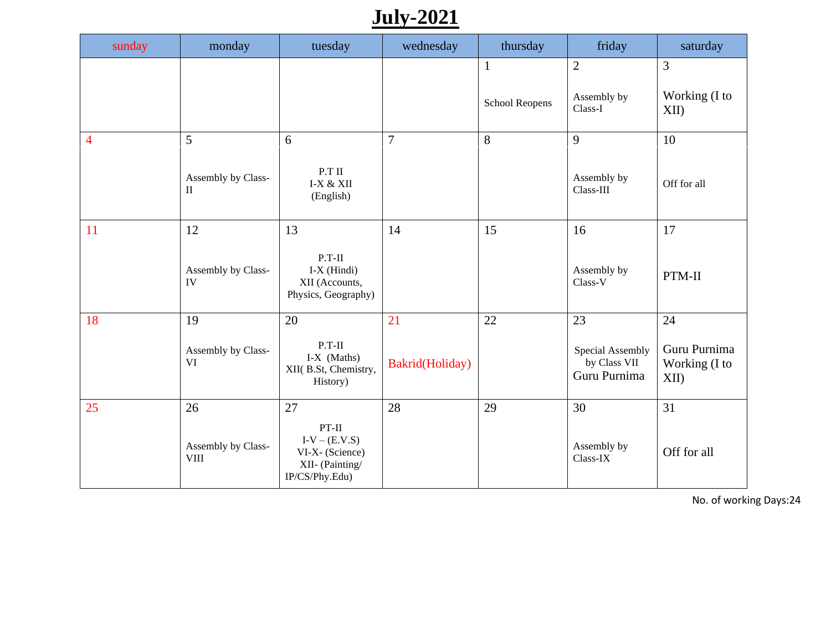# **July-2021**

| sunday         | monday                                  | tuesday                                                                                  | wednesday             | thursday                       | friday                                                 | saturday                                        |
|----------------|-----------------------------------------|------------------------------------------------------------------------------------------|-----------------------|--------------------------------|--------------------------------------------------------|-------------------------------------------------|
|                |                                         |                                                                                          |                       | $\mathbf{1}$<br>School Reopens | $\overline{2}$<br>Assembly by<br>Class-I               | 3<br>Working (I to<br>XII)                      |
| $\overline{4}$ | 5<br>Assembly by Class-<br>$\rm II$     | 6<br>P.T II<br>I-X & XII<br>(English)                                                    | $\overline{7}$        | 8                              | 9<br>Assembly by<br>Class-III                          | 10<br>Off for all                               |
| 11             | 12<br>Assembly by Class-<br>IV          | 13<br>$P.T-II$<br>$I-X$ (Hindi)<br>XII (Accounts,<br>Physics, Geography)                 | 14                    | 15                             | 16<br>Assembly by<br>Class-V                           | 17<br>PTM-II                                    |
| 18             | 19<br>Assembly by Class-<br><b>VI</b>   | 20<br>$P.T-II$<br>I-X (Maths)<br>XII(B.St, Chemistry,<br>History)                        | 21<br>Bakrid(Holiday) | 22                             | 23<br>Special Assembly<br>by Class VII<br>Guru Purnima | $24\,$<br>Guru Purnima<br>Working (I to<br>XII) |
| 25             | 26<br>Assembly by Class-<br><b>VIII</b> | 27<br>$PT-II$<br>$I-V - (E.V.S)$<br>VI-X- (Science)<br>XII- (Painting/<br>IP/CS/Phy.Edu) | 28                    | 29                             | 30<br>Assembly by<br>Class-IX                          | 31<br>Off for all                               |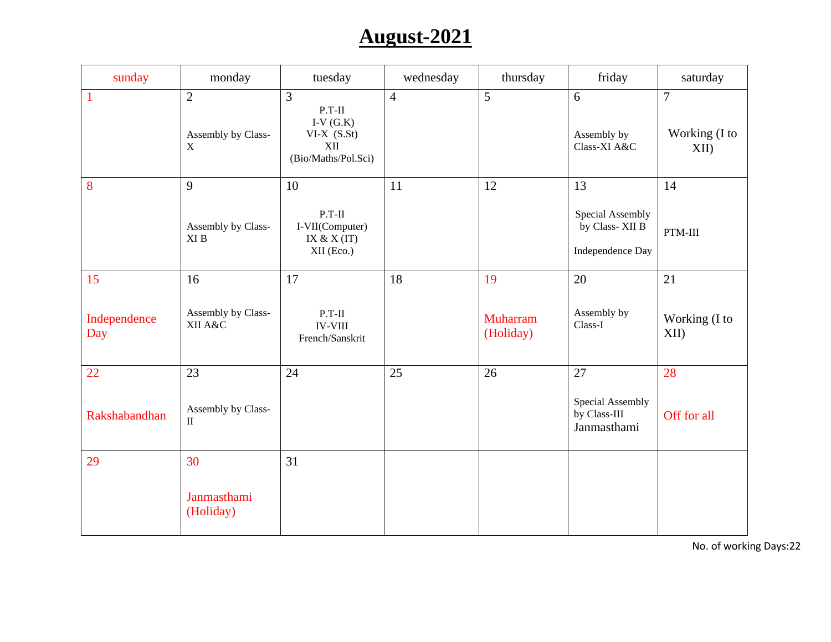# **August-2021**

| sunday              | monday                                              | tuesday                                                                                 | wednesday      | thursday                     | friday                                                       | saturday                                |
|---------------------|-----------------------------------------------------|-----------------------------------------------------------------------------------------|----------------|------------------------------|--------------------------------------------------------------|-----------------------------------------|
| $\mathbf{1}$        | $\overline{2}$<br>Assembly by Class-<br>$\mathbf X$ | $\overline{3}$<br>$P.T-II$<br>I-V $(G.K)$<br>$VI-X(S.St)$<br>XII<br>(Bio/Maths/Pol.Sci) | $\overline{4}$ | $\overline{5}$               | 6<br>Assembly by<br>Class-XI A&C                             | $\overline{7}$<br>Working (I to<br>XII) |
| 8                   | 9<br>Assembly by Class-<br>${\rm XI}$ B             | 10<br>$P.T-II$<br>I-VII(Computer)<br>IX & $X(IT)$<br>XII (Eco.)                         | 11             | 12                           | 13<br>Special Assembly<br>by Class-XII B<br>Independence Day | 14<br>PTM-III                           |
| 15                  | 16                                                  | 17                                                                                      | 18             | 19                           | 20                                                           | 21                                      |
| Independence<br>Day | Assembly by Class-<br>XII A&C                       | $P.T-II$<br><b>IV-VIII</b><br>French/Sanskrit                                           |                | <b>Muharram</b><br>(Holiday) | Assembly by<br>Class-I                                       | Working (I to<br>XII                    |
| 22                  | 23                                                  | 24                                                                                      | 25             | 26                           | 27                                                           | 28                                      |
| Rakshabandhan       | Assembly by Class-<br>$\rm II$                      |                                                                                         |                |                              | Special Assembly<br>by Class-III<br>Janmasthami              | Off for all                             |
| 29                  | 30                                                  | 31                                                                                      |                |                              |                                                              |                                         |
|                     | Janmasthami<br>(Holiday)                            |                                                                                         |                |                              |                                                              |                                         |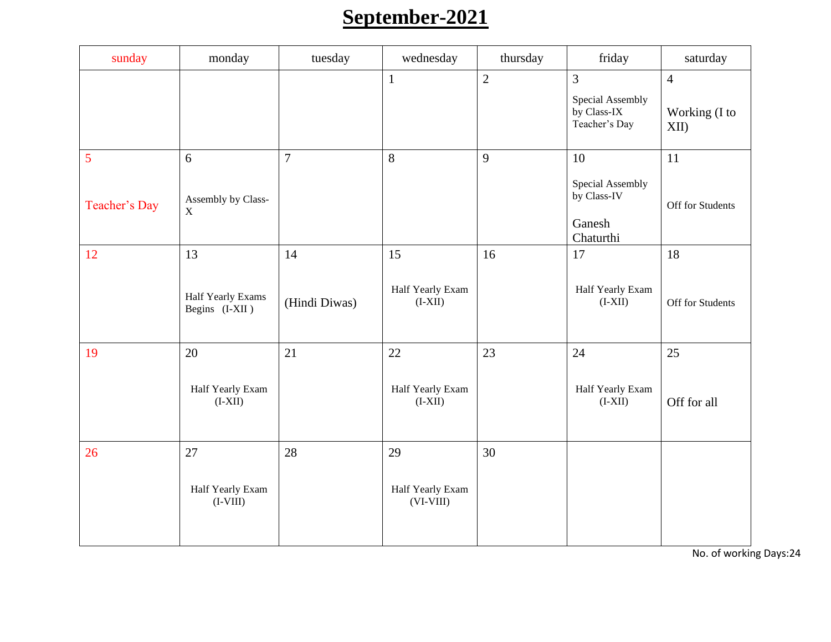# **September-2021**

| sunday             | monday                                    | tuesday             | wednesday                             | thursday       | friday                                                             | saturday                                |
|--------------------|-------------------------------------------|---------------------|---------------------------------------|----------------|--------------------------------------------------------------------|-----------------------------------------|
|                    |                                           |                     | $\mathbf{1}$                          | $\overline{2}$ | $\overline{3}$<br>Special Assembly<br>by Class-IX<br>Teacher's Day | $\overline{4}$<br>Working (I to<br>XII) |
| 5<br>Teacher's Day | 6<br>Assembly by Class-<br>$\mathbf X$    | $\overline{7}$      | 8                                     | 9              | 10<br>Special Assembly<br>by Class-IV<br>Ganesh<br>Chaturthi       | 11<br>Off for Students                  |
| 12                 | 13<br>Half Yearly Exams<br>Begins (I-XII) | 14<br>(Hindi Diwas) | 15<br>Half Yearly Exam<br>$(I-XII)$   | 16             | 17<br>Half Yearly Exam<br>$(I-XII)$                                | 18<br>Off for Students                  |
| 19                 | 20<br>Half Yearly Exam<br>$(I-XII)$       | 21                  | 22<br>Half Yearly Exam<br>$(I-XII)$   | 23             | 24<br>Half Yearly Exam<br>$(I-XII)$                                | 25<br>Off for all                       |
| 26                 | 27<br>Half Yearly Exam<br>$(I-VIII)$      | 28                  | 29<br>Half Yearly Exam<br>$(VI-VIII)$ | 30             |                                                                    |                                         |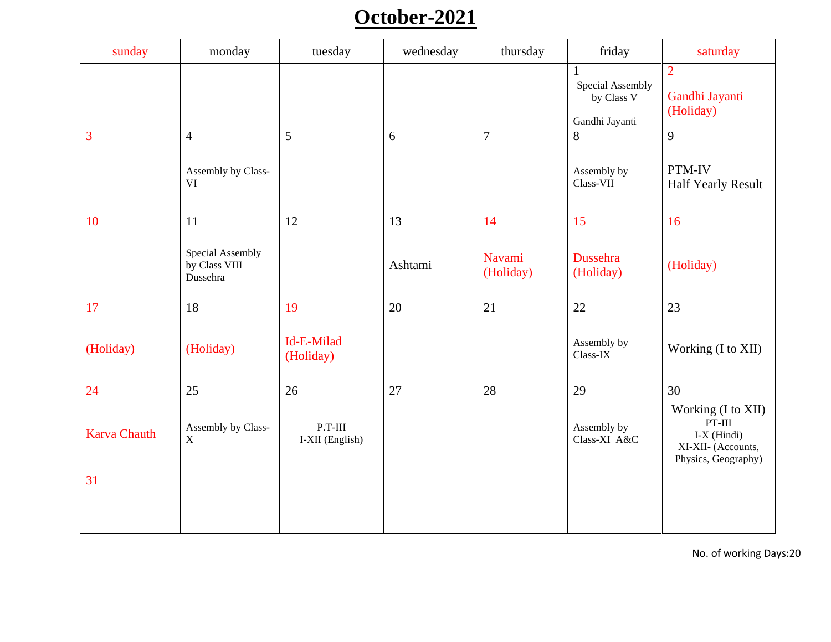# **October-2021**

| sunday              | monday                                        | tuesday                      | wednesday | thursday            | friday                                                           | saturday                                                                                     |
|---------------------|-----------------------------------------------|------------------------------|-----------|---------------------|------------------------------------------------------------------|----------------------------------------------------------------------------------------------|
|                     |                                               |                              |           |                     | $\mathbf{1}$<br>Special Assembly<br>by Class V<br>Gandhi Jayanti | $\overline{2}$<br>Gandhi Jayanti<br>(Holiday)                                                |
| 3                   | $\overline{4}$                                | 5                            | 6         | $\overline{7}$      | 8                                                                | 9                                                                                            |
|                     | Assembly by Class-<br><b>VI</b>               |                              |           |                     | Assembly by<br>Class-VII                                         | PTM-IV<br>Half Yearly Result                                                                 |
| 10                  | 11                                            | 12                           | 13        | 14                  | 15                                                               | 16                                                                                           |
|                     | Special Assembly<br>by Class VIII<br>Dussehra |                              | Ashtami   | Navami<br>(Holiday) | Dussehra<br>(Holiday)                                            | (Holiday)                                                                                    |
| 17                  | 18                                            | 19                           | 20        | 21                  | 22                                                               | 23                                                                                           |
| (Holiday)           | (Holiday)                                     | Id-E-Milad<br>(Holiday)      |           |                     | Assembly by<br>$Class-IX$                                        | Working (I to XII)                                                                           |
| 24                  | 25                                            | 26                           | 27        | 28                  | 29                                                               | 30                                                                                           |
| <b>Karva Chauth</b> | Assembly by Class-<br>$\mathbf X$             | $P.T-III$<br>I-XII (English) |           |                     | Assembly by<br>Class-XI A&C                                      | Working (I to XII)<br>$PT-III$<br>$I-X$ (Hindi)<br>XI-XII- (Accounts,<br>Physics, Geography) |
| 31                  |                                               |                              |           |                     |                                                                  |                                                                                              |
|                     |                                               |                              |           |                     |                                                                  |                                                                                              |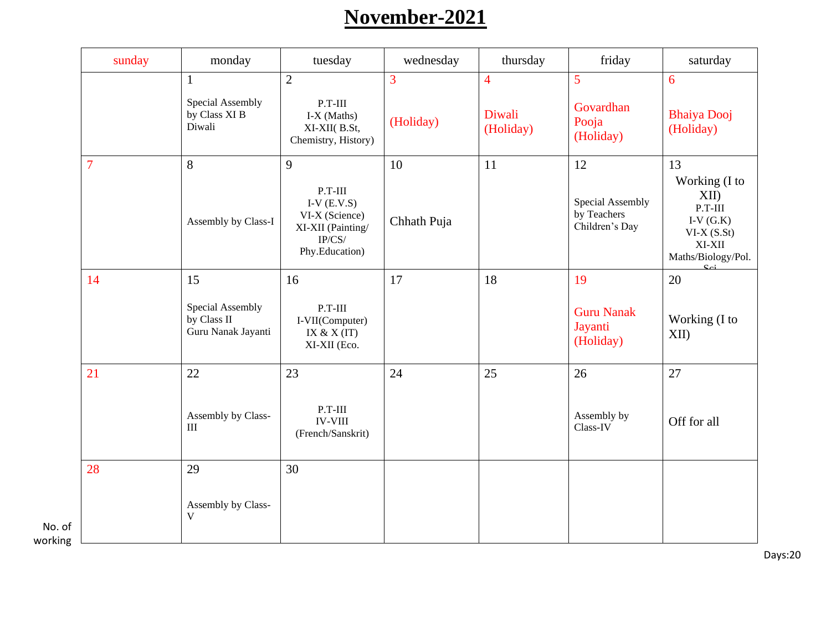# **November-2021**

|                   | sunday         | monday                                                | tuesday                                                                                       | wednesday      | thursday            | friday                                            | saturday                                                                                                            |
|-------------------|----------------|-------------------------------------------------------|-----------------------------------------------------------------------------------------------|----------------|---------------------|---------------------------------------------------|---------------------------------------------------------------------------------------------------------------------|
|                   |                | $\mathbf{1}$                                          | $\overline{2}$                                                                                | $\overline{3}$ | $\overline{4}$      | 5                                                 | 6                                                                                                                   |
|                   |                | Special Assembly<br>by Class XI B<br>Diwali           | $P.T-III$<br>$IX$ (Maths)<br>XI-XII(B.St,<br>Chemistry, History)                              | (Holiday)      | Diwali<br>(Holiday) | Govardhan<br>Pooja<br>(Holiday)                   | <b>Bhaiya Dooj</b><br>(Holiday)                                                                                     |
|                   | $\overline{7}$ | 8                                                     | 9                                                                                             | 10             | 11                  | 12                                                | 13                                                                                                                  |
|                   |                | Assembly by Class-I                                   | $P.T-III$<br>I-V $(E.V.S)$<br>VI-X (Science)<br>XI-XII (Painting/<br>IP/CS/<br>Phy.Education) | Chhath Puja    |                     | Special Assembly<br>by Teachers<br>Children's Day | Working (I to<br>XII)<br>$P.T-III$<br>I-V $(\mathrm{G}.\mathrm{K})$<br>$VI-X(S.St)$<br>XI-XII<br>Maths/Biology/Pol. |
|                   | 14             | 15                                                    | 16                                                                                            | 17             | 18                  | 19                                                | 20                                                                                                                  |
|                   |                | Special Assembly<br>by Class II<br>Guru Nanak Jayanti | $P.T-III$<br>I-VII(Computer)<br>IX & $X(IT)$<br>XI-XII (Eco.                                  |                |                     | <b>Guru Nanak</b><br>Jayanti<br>(Holiday)         | Working (I to<br>XII)                                                                                               |
|                   | 21             | 22                                                    | 23                                                                                            | 24             | 25                  | 26                                                | 27                                                                                                                  |
|                   |                | Assembly by Class-<br>III                             | $P.T-III$<br><b>IV-VIII</b><br>(French/Sanskrit)                                              |                |                     | Assembly by<br>Class-IV                           | Off for all                                                                                                         |
|                   | 28             | 29                                                    | 30                                                                                            |                |                     |                                                   |                                                                                                                     |
| No. of<br>working |                | Assembly by Class-<br>V                               |                                                                                               |                |                     |                                                   |                                                                                                                     |

Days:20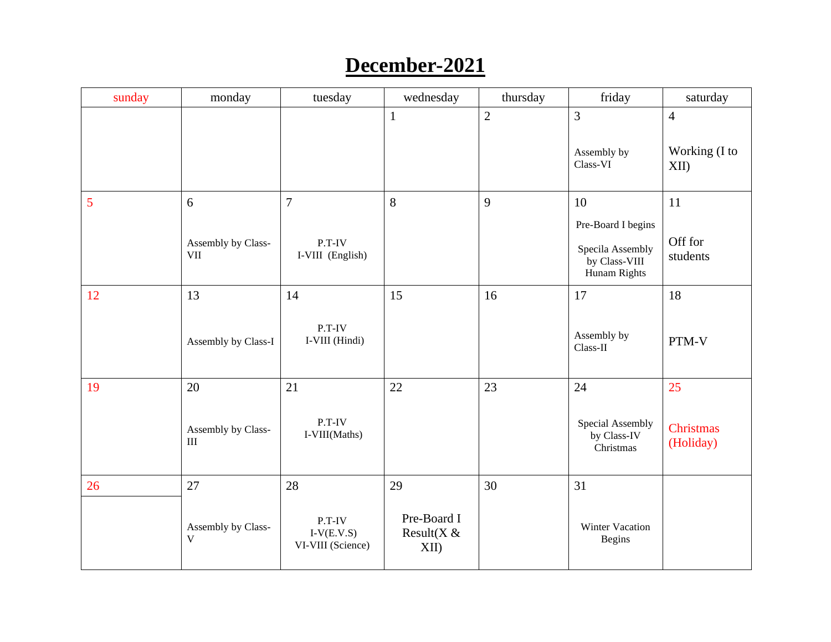#### **December-2021**

| sunday | monday                            | tuesday                                       | wednesday                            | thursday       | friday                                            | $\sqrt{\sqrt{2}}$ saturday    |
|--------|-----------------------------------|-----------------------------------------------|--------------------------------------|----------------|---------------------------------------------------|-------------------------------|
|        |                                   |                                               | $\mathbf{1}$                         | $\overline{2}$ | 3                                                 | $\overline{4}$                |
|        |                                   |                                               |                                      |                | Assembly by<br>Class-VI                           | Working (I to<br>XII          |
| 5      | 6                                 | $\overline{7}$                                | 8                                    | 9              | 10                                                | 11                            |
|        |                                   |                                               |                                      |                | Pre-Board I begins                                |                               |
|        | Assembly by Class-<br><b>VII</b>  | $P.T-IV$<br>I-VIII (English)                  |                                      |                | Specila Assembly<br>by Class-VIII<br>Hunam Rights | Off for<br>students           |
| 12     | 13                                | 14                                            | 15                                   | 16             | 17                                                | 18                            |
|        | Assembly by Class-I               | P.T-IV<br>I-VIII (Hindi)                      |                                      |                | Assembly by<br>Class-II                           | PTM-V                         |
| 19     | 20                                | 21                                            | 22                                   | 23             | 24                                                | 25                            |
|        | Assembly by Class-<br>$\rm III$   | P.T-IV<br>I-VIII(Maths)                       |                                      |                | Special Assembly<br>by Class-IV<br>Christmas      | <b>Christmas</b><br>(Holiday) |
| 26     | 27                                | 28                                            | 29                                   | 30             | 31                                                |                               |
|        | Assembly by Class-<br>$\mathbf V$ | $P.T-IV$<br>$I-V(E.V.S)$<br>VI-VIII (Science) | Pre-Board I<br>Result( $X$ &<br>XII) |                | <b>Winter Vacation</b><br><b>Begins</b>           |                               |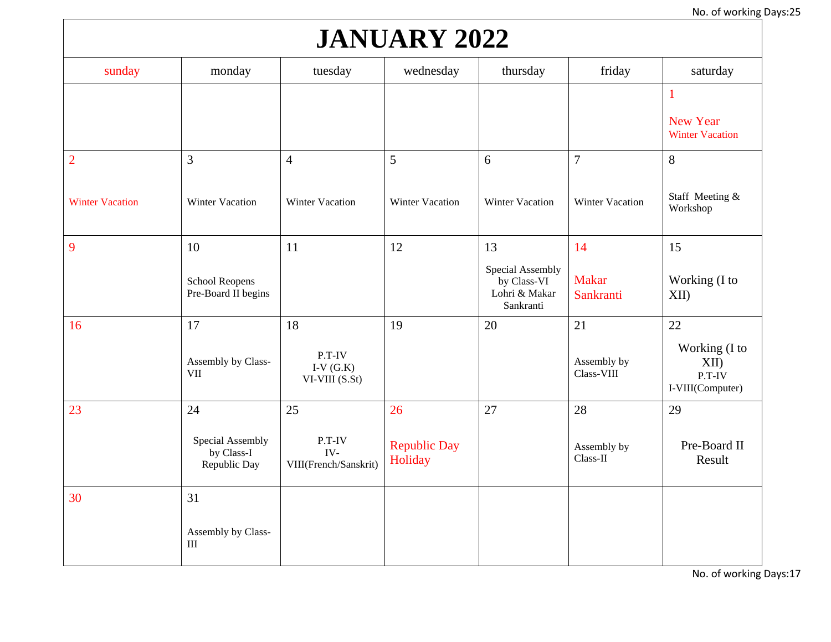# **JANUARY 2022**

| sunday                 | monday                                         | tuesday                                 | wednesday                      | thursday                                                      | friday                    | saturday                                                  |
|------------------------|------------------------------------------------|-----------------------------------------|--------------------------------|---------------------------------------------------------------|---------------------------|-----------------------------------------------------------|
|                        |                                                |                                         |                                |                                                               |                           | $\mathbf{1}$<br><b>New Year</b><br><b>Winter Vacation</b> |
| $\overline{2}$         | 3                                              | $\overline{4}$                          | 5                              | 6                                                             | $\overline{7}$            | 8                                                         |
| <b>Winter Vacation</b> | Winter Vacation                                | <b>Winter Vacation</b>                  | <b>Winter Vacation</b>         | <b>Winter Vacation</b>                                        | Winter Vacation           | Staff Meeting &<br>Workshop                               |
| $\overline{9}$         | 10                                             | 11                                      | 12                             | 13                                                            | 14                        | 15                                                        |
|                        | <b>School Reopens</b><br>Pre-Board II begins   |                                         |                                | Special Assembly<br>by Class-VI<br>Lohri & Makar<br>Sankranti | <b>Makar</b><br>Sankranti | Working (I to<br>XII                                      |
| 16                     | 17                                             | 18                                      | 19                             | 20                                                            | 21                        | 22                                                        |
|                        | Assembly by Class-<br><b>VII</b>               | P.T-IV<br>I-V $(G.K)$<br>VI-VIII (S.St) |                                |                                                               | Assembly by<br>Class-VIII | Working (I to<br>XII)<br>P.T-IV<br>I-VIII(Computer)       |
| 23                     | 24                                             | 25                                      | 26                             | 27                                                            | 28                        | 29                                                        |
|                        | Special Assembly<br>by Class-I<br>Republic Day | P.T-IV<br>IV-<br>VIII(French/Sanskrit)  | <b>Republic Day</b><br>Holiday |                                                               | Assembly by<br>Class-II   | Pre-Board II<br>Result                                    |
| 30                     | 31                                             |                                         |                                |                                                               |                           |                                                           |
|                        | Assembly by Class-<br>III                      |                                         |                                |                                                               |                           |                                                           |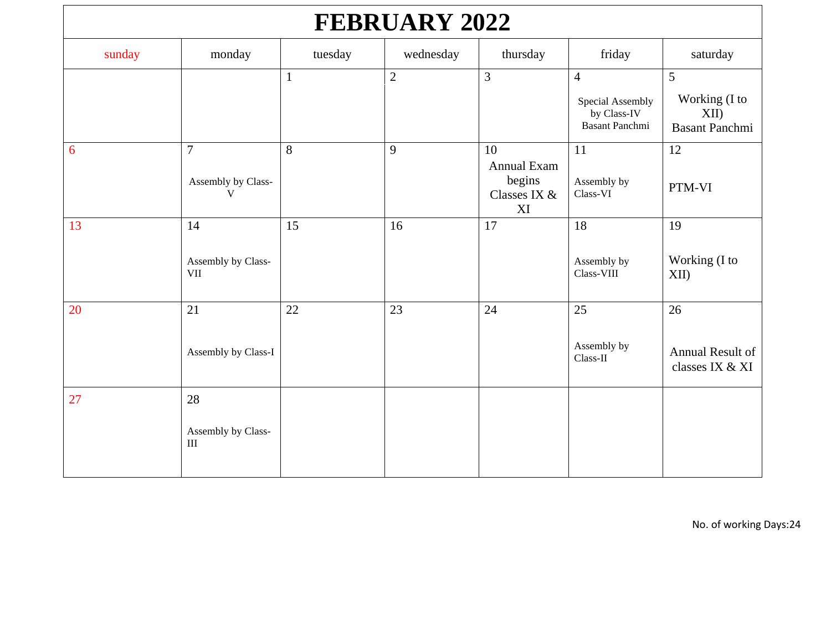| <b>FEBRUARY 2022</b> |                                                     |              |                |                                                   |                                                                            |                                                        |  |  |  |
|----------------------|-----------------------------------------------------|--------------|----------------|---------------------------------------------------|----------------------------------------------------------------------------|--------------------------------------------------------|--|--|--|
| sunday               | monday                                              | tuesday      | wednesday      | thursday                                          | friday                                                                     | saturday                                               |  |  |  |
|                      |                                                     | $\mathbf{1}$ | $\overline{2}$ | 3                                                 | $\overline{4}$<br>Special Assembly<br>by Class-IV<br><b>Basant Panchmi</b> | 5<br>Working (I to<br>$XII$ )<br><b>Basant Panchmi</b> |  |  |  |
| 6                    | $\overline{7}$<br>Assembly by Class-<br>$\mathbf V$ | 8            | 9              | 10<br>Annual Exam<br>begins<br>Classes IX &<br>XI | 11<br>Assembly by<br>Class-VI                                              | 12<br>PTM-VI                                           |  |  |  |
| 13                   | 14<br>Assembly by Class-<br><b>VII</b>              | 15           | 16             | 17                                                | 18<br>Assembly by<br>Class-VIII                                            | 19<br>Working (I to<br>XII                             |  |  |  |
| 20                   | 21<br>Assembly by Class-I                           | 22           | 23             | 24                                                | 25<br>Assembly by<br>Class-II                                              | 26<br>Annual Result of<br>classes IX & XI              |  |  |  |
| 27                   | 28<br>Assembly by Class-<br>$\rm III$               |              |                |                                                   |                                                                            |                                                        |  |  |  |